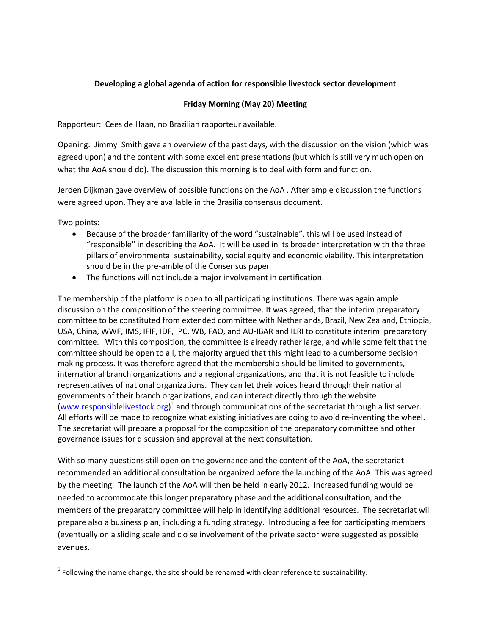## **Developing a global agenda of action for responsible livestock sector development**

## **Friday Morning (May 20) Meeting**

Rapporteur: Cees de Haan, no Brazilian rapporteur available.

Opening: Jimmy Smith gave an overview of the past days, with the discussion on the vision (which was agreed upon) and the content with some excellent presentations (but which is still very much open on what the AoA should do). The discussion this morning is to deal with form and function.

Jeroen Dijkman gave overview of possible functions on the AoA . After ample discussion the functions were agreed upon. They are available in the Brasilia consensus document.

Two points:

- Because of the broader familiarity of the word "sustainable", this will be used instead of "responsible" in describing the AoA. It will be used in its broader interpretation with the three pillars of environmental sustainability, social equity and economic viability. This interpretation should be in the pre-amble of the Consensus paper
- The functions will not include a major involvement in certification.

The membership of the platform is open to all participating institutions. There was again ample discussion on the composition of the steering committee. It was agreed, that the interim preparatory committee to be constituted from extended committee with Netherlands, Brazil, New Zealand, Ethiopia, USA, China, WWF, IMS, IFIF, IDF, IPC, WB, FAO, and AU-IBAR and ILRI to constitute interim preparatory committee. With this composition, the committee is already rather large, and while some felt that the committee should be open to all, the majority argued that this might lead to a cumbersome decision making process. It was therefore agreed that the membership should be limited to governments, international branch organizations and a regional organizations, and that it is not feasible to include representatives of national organizations. They can let their voices heard through their national governments of their branch organizations, and can interact directly through the website [\(www.responsiblelivestock.org\)](http://www.responsiblelivestock.org/)<sup>[1](#page-0-0)</sup> and through communications of the secretariat through a list server. All efforts will be made to recognize what existing initiatives are doing to avoid re-inventing the wheel. The secretariat will prepare a proposal for the composition of the preparatory committee and other governance issues for discussion and approval at the next consultation.

With so many questions still open on the governance and the content of the AoA, the secretariat recommended an additional consultation be organized before the launching of the AoA. This was agreed by the meeting. The launch of the AoA will then be held in early 2012. Increased funding would be needed to accommodate this longer preparatory phase and the additional consultation, and the members of the preparatory committee will help in identifying additional resources. The secretariat will prepare also a business plan, including a funding strategy. Introducing a fee for participating members (eventually on a sliding scale and clo se involvement of the private sector were suggested as possible avenues.

<span id="page-0-0"></span> $1$  Following the name change, the site should be renamed with clear reference to sustainability.